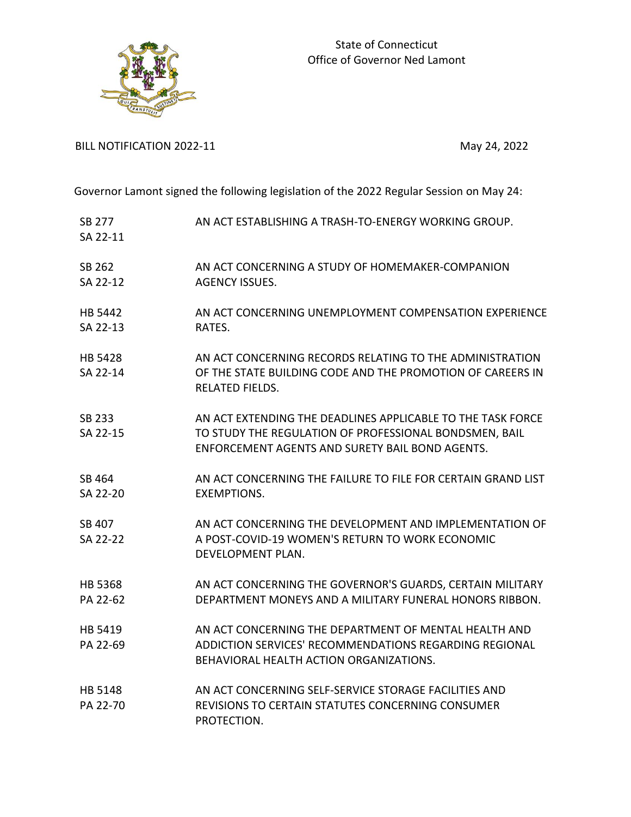

BILL NOTIFICATION 2022-11 May 24, 2022

Governor Lamont signed the following legislation of the 2022 Regular Session on May 24:

| SB 277<br>SA 22-11         | AN ACT ESTABLISHING A TRASH-TO-ENERGY WORKING GROUP.                                                                                                                     |
|----------------------------|--------------------------------------------------------------------------------------------------------------------------------------------------------------------------|
| SB 262<br>SA 22-12         | AN ACT CONCERNING A STUDY OF HOMEMAKER-COMPANION<br><b>AGENCY ISSUES.</b>                                                                                                |
| HB 5442<br>SA 22-13        | AN ACT CONCERNING UNEMPLOYMENT COMPENSATION EXPERIENCE<br>RATES.                                                                                                         |
| <b>HB 5428</b><br>SA 22-14 | AN ACT CONCERNING RECORDS RELATING TO THE ADMINISTRATION<br>OF THE STATE BUILDING CODE AND THE PROMOTION OF CAREERS IN<br><b>RELATED FIELDS.</b>                         |
| SB 233<br>SA 22-15         | AN ACT EXTENDING THE DEADLINES APPLICABLE TO THE TASK FORCE<br>TO STUDY THE REGULATION OF PROFESSIONAL BONDSMEN, BAIL<br>ENFORCEMENT AGENTS AND SURETY BAIL BOND AGENTS. |
| SB 464<br>SA 22-20         | AN ACT CONCERNING THE FAILURE TO FILE FOR CERTAIN GRAND LIST<br><b>EXEMPTIONS.</b>                                                                                       |
| SB 407<br>SA 22-22         | AN ACT CONCERNING THE DEVELOPMENT AND IMPLEMENTATION OF<br>A POST-COVID-19 WOMEN'S RETURN TO WORK ECONOMIC<br>DEVELOPMENT PLAN.                                          |
| <b>HB 5368</b><br>PA 22-62 | AN ACT CONCERNING THE GOVERNOR'S GUARDS, CERTAIN MILITARY<br>DEPARTMENT MONEYS AND A MILITARY FUNERAL HONORS RIBBON.                                                     |
| HB 5419<br>PA 22-69        | AN ACT CONCERNING THE DEPARTMENT OF MENTAL HEALTH AND<br>ADDICTION SERVICES' RECOMMENDATIONS REGARDING REGIONAL<br>BEHAVIORAL HEALTH ACTION ORGANIZATIONS.               |
| HB 5148<br>PA 22-70        | AN ACT CONCERNING SELF-SERVICE STORAGE FACILITIES AND<br>REVISIONS TO CERTAIN STATUTES CONCERNING CONSUMER<br>PROTECTION.                                                |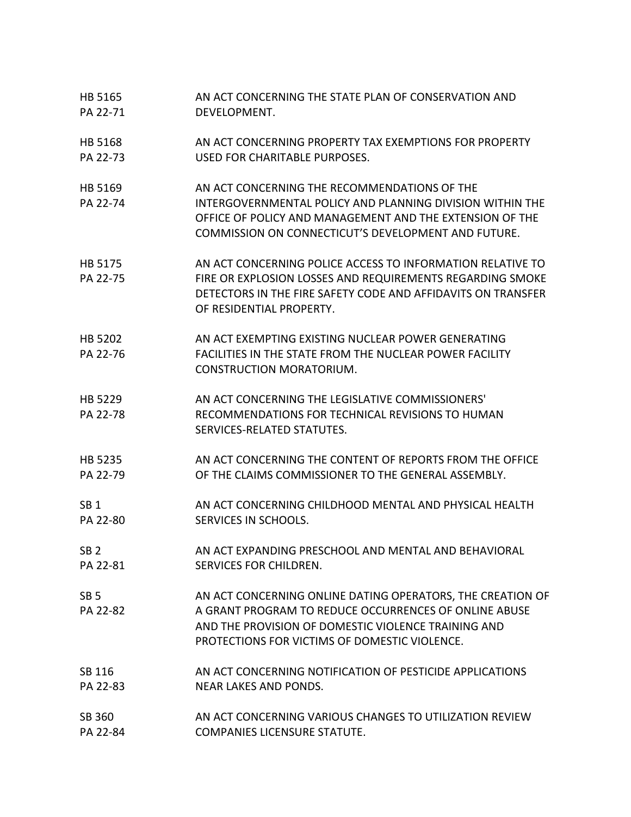| HB 5165                     | AN ACT CONCERNING THE STATE PLAN OF CONSERVATION AND                                                                                                                                                                         |
|-----------------------------|------------------------------------------------------------------------------------------------------------------------------------------------------------------------------------------------------------------------------|
| PA 22-71                    | DEVELOPMENT.                                                                                                                                                                                                                 |
| HB 5168                     | AN ACT CONCERNING PROPERTY TAX EXEMPTIONS FOR PROPERTY                                                                                                                                                                       |
| PA 22-73                    | USED FOR CHARITABLE PURPOSES.                                                                                                                                                                                                |
| HB 5169<br>PA 22-74         | AN ACT CONCERNING THE RECOMMENDATIONS OF THE<br>INTERGOVERNMENTAL POLICY AND PLANNING DIVISION WITHIN THE<br>OFFICE OF POLICY AND MANAGEMENT AND THE EXTENSION OF THE<br>COMMISSION ON CONNECTICUT'S DEVELOPMENT AND FUTURE. |
| HB 5175<br>PA 22-75         | AN ACT CONCERNING POLICE ACCESS TO INFORMATION RELATIVE TO<br>FIRE OR EXPLOSION LOSSES AND REQUIREMENTS REGARDING SMOKE<br>DETECTORS IN THE FIRE SAFETY CODE AND AFFIDAVITS ON TRANSFER<br>OF RESIDENTIAL PROPERTY.          |
| HB 5202<br>PA 22-76         | AN ACT EXEMPTING EXISTING NUCLEAR POWER GENERATING<br>FACILITIES IN THE STATE FROM THE NUCLEAR POWER FACILITY<br><b>CONSTRUCTION MORATORIUM.</b>                                                                             |
| HB 5229<br>PA 22-78         | AN ACT CONCERNING THE LEGISLATIVE COMMISSIONERS'<br>RECOMMENDATIONS FOR TECHNICAL REVISIONS TO HUMAN<br>SERVICES-RELATED STATUTES.                                                                                           |
| HB 5235                     | AN ACT CONCERNING THE CONTENT OF REPORTS FROM THE OFFICE                                                                                                                                                                     |
| PA 22-79                    | OF THE CLAIMS COMMISSIONER TO THE GENERAL ASSEMBLY.                                                                                                                                                                          |
| SB <sub>1</sub>             | AN ACT CONCERNING CHILDHOOD MENTAL AND PHYSICAL HEALTH                                                                                                                                                                       |
| PA 22-80                    | SERVICES IN SCHOOLS.                                                                                                                                                                                                         |
| SB <sub>2</sub>             | AN ACT EXPANDING PRESCHOOL AND MENTAL AND BEHAVIORAL                                                                                                                                                                         |
| PA 22-81                    | SERVICES FOR CHILDREN.                                                                                                                                                                                                       |
| SB <sub>5</sub><br>PA 22-82 | AN ACT CONCERNING ONLINE DATING OPERATORS, THE CREATION OF<br>A GRANT PROGRAM TO REDUCE OCCURRENCES OF ONLINE ABUSE<br>AND THE PROVISION OF DOMESTIC VIOLENCE TRAINING AND<br>PROTECTIONS FOR VICTIMS OF DOMESTIC VIOLENCE.  |
| SB 116                      | AN ACT CONCERNING NOTIFICATION OF PESTICIDE APPLICATIONS                                                                                                                                                                     |
| PA 22-83                    | <b>NEAR LAKES AND PONDS.</b>                                                                                                                                                                                                 |
| SB 360                      | AN ACT CONCERNING VARIOUS CHANGES TO UTILIZATION REVIEW                                                                                                                                                                      |
| PA 22-84                    | <b>COMPANIES LICENSURE STATUTE.</b>                                                                                                                                                                                          |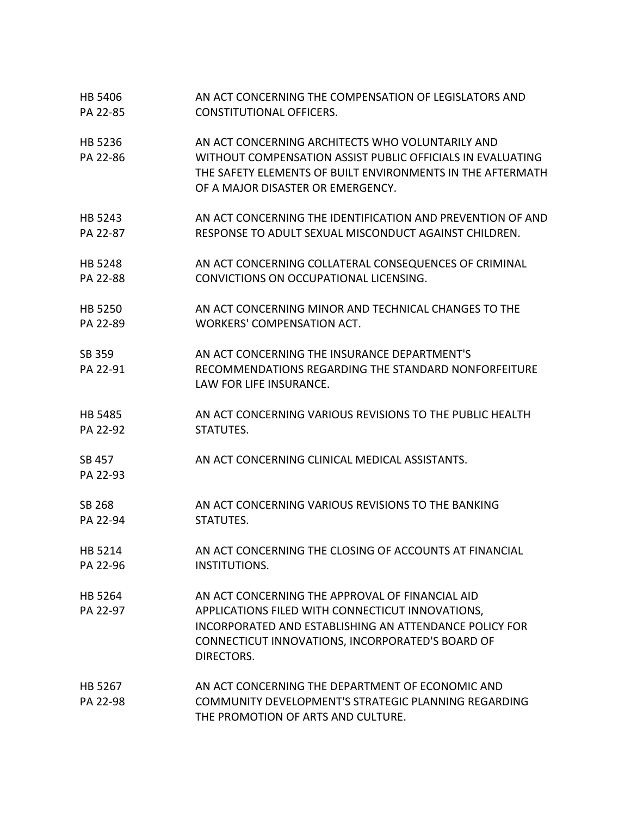| <b>HB 5406</b>      | AN ACT CONCERNING THE COMPENSATION OF LEGISLATORS AND                                                                                                                                                                           |
|---------------------|---------------------------------------------------------------------------------------------------------------------------------------------------------------------------------------------------------------------------------|
| PA 22-85            | CONSTITUTIONAL OFFICERS.                                                                                                                                                                                                        |
| HB 5236<br>PA 22-86 | AN ACT CONCERNING ARCHITECTS WHO VOLUNTARILY AND<br>WITHOUT COMPENSATION ASSIST PUBLIC OFFICIALS IN EVALUATING<br>THE SAFETY ELEMENTS OF BUILT ENVIRONMENTS IN THE AFTERMATH<br>OF A MAJOR DISASTER OR EMERGENCY.               |
| HB 5243             | AN ACT CONCERNING THE IDENTIFICATION AND PREVENTION OF AND                                                                                                                                                                      |
| PA 22-87            | RESPONSE TO ADULT SEXUAL MISCONDUCT AGAINST CHILDREN.                                                                                                                                                                           |
| HB 5248             | AN ACT CONCERNING COLLATERAL CONSEQUENCES OF CRIMINAL                                                                                                                                                                           |
| PA 22-88            | CONVICTIONS ON OCCUPATIONAL LICENSING.                                                                                                                                                                                          |
| HB 5250             | AN ACT CONCERNING MINOR AND TECHNICAL CHANGES TO THE                                                                                                                                                                            |
| PA 22-89            | WORKERS' COMPENSATION ACT.                                                                                                                                                                                                      |
| SB 359<br>PA 22-91  | AN ACT CONCERNING THE INSURANCE DEPARTMENT'S<br>RECOMMENDATIONS REGARDING THE STANDARD NONFORFEITURE<br>LAW FOR LIFE INSURANCE.                                                                                                 |
| <b>HB 5485</b>      | AN ACT CONCERNING VARIOUS REVISIONS TO THE PUBLIC HEALTH                                                                                                                                                                        |
| PA 22-92            | STATUTES.                                                                                                                                                                                                                       |
| SB 457<br>PA 22-93  | AN ACT CONCERNING CLINICAL MEDICAL ASSISTANTS.                                                                                                                                                                                  |
| SB 268              | AN ACT CONCERNING VARIOUS REVISIONS TO THE BANKING                                                                                                                                                                              |
| PA 22-94            | STATUTES.                                                                                                                                                                                                                       |
| HB 5214             | AN ACT CONCERNING THE CLOSING OF ACCOUNTS AT FINANCIAL                                                                                                                                                                          |
| PA 22-96            | <b>INSTITUTIONS.</b>                                                                                                                                                                                                            |
| HB 5264<br>PA 22-97 | AN ACT CONCERNING THE APPROVAL OF FINANCIAL AID<br>APPLICATIONS FILED WITH CONNECTICUT INNOVATIONS,<br>INCORPORATED AND ESTABLISHING AN ATTENDANCE POLICY FOR<br>CONNECTICUT INNOVATIONS, INCORPORATED'S BOARD OF<br>DIRECTORS. |
| HB 5267<br>PA 22-98 | AN ACT CONCERNING THE DEPARTMENT OF ECONOMIC AND<br>COMMUNITY DEVELOPMENT'S STRATEGIC PLANNING REGARDING<br>THE PROMOTION OF ARTS AND CULTURE.                                                                                  |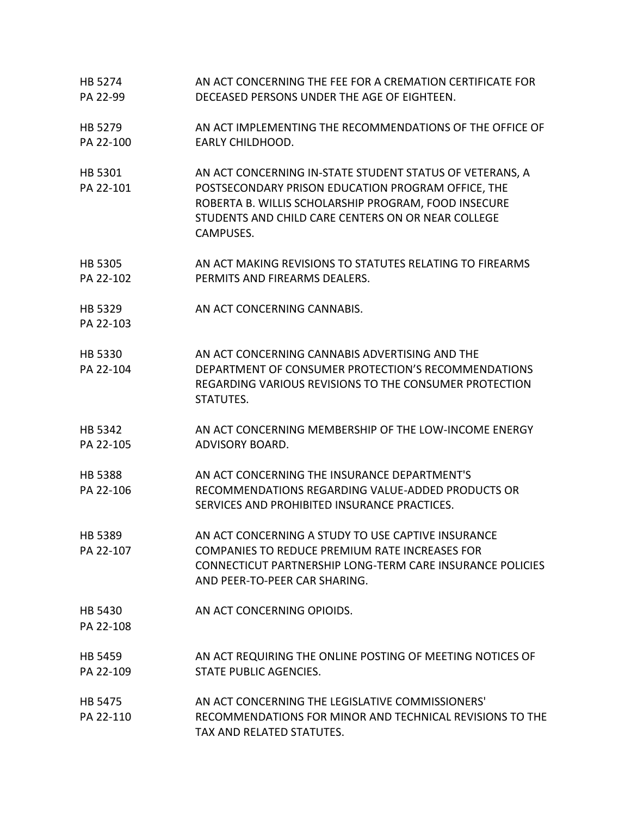| HB 5274<br>PA 22-99         | AN ACT CONCERNING THE FEE FOR A CREMATION CERTIFICATE FOR<br>DECEASED PERSONS UNDER THE AGE OF EIGHTEEN.                                                                                                                                  |
|-----------------------------|-------------------------------------------------------------------------------------------------------------------------------------------------------------------------------------------------------------------------------------------|
| HB 5279<br>PA 22-100        | AN ACT IMPLEMENTING THE RECOMMENDATIONS OF THE OFFICE OF<br>EARLY CHILDHOOD.                                                                                                                                                              |
| HB 5301<br>PA 22-101        | AN ACT CONCERNING IN-STATE STUDENT STATUS OF VETERANS, A<br>POSTSECONDARY PRISON EDUCATION PROGRAM OFFICE, THE<br>ROBERTA B. WILLIS SCHOLARSHIP PROGRAM, FOOD INSECURE<br>STUDENTS AND CHILD CARE CENTERS ON OR NEAR COLLEGE<br>CAMPUSES. |
| <b>HB 5305</b><br>PA 22-102 | AN ACT MAKING REVISIONS TO STATUTES RELATING TO FIREARMS<br>PERMITS AND FIREARMS DEALERS.                                                                                                                                                 |
| HB 5329<br>PA 22-103        | AN ACT CONCERNING CANNABIS.                                                                                                                                                                                                               |
| HB 5330<br>PA 22-104        | AN ACT CONCERNING CANNABIS ADVERTISING AND THE<br>DEPARTMENT OF CONSUMER PROTECTION'S RECOMMENDATIONS<br>REGARDING VARIOUS REVISIONS TO THE CONSUMER PROTECTION<br>STATUTES.                                                              |
| HB 5342<br>PA 22-105        | AN ACT CONCERNING MEMBERSHIP OF THE LOW-INCOME ENERGY<br>ADVISORY BOARD.                                                                                                                                                                  |
| <b>HB 5388</b><br>PA 22-106 | AN ACT CONCERNING THE INSURANCE DEPARTMENT'S<br>RECOMMENDATIONS REGARDING VALUE-ADDED PRODUCTS OR<br>SERVICES AND PROHIBITED INSURANCE PRACTICES.                                                                                         |
| HB 5389<br>PA 22-107        | AN ACT CONCERNING A STUDY TO USE CAPTIVE INSURANCE<br>COMPANIES TO REDUCE PREMIUM RATE INCREASES FOR<br>CONNECTICUT PARTNERSHIP LONG-TERM CARE INSURANCE POLICIES<br>AND PEER-TO-PEER CAR SHARING.                                        |
| HB 5430<br>PA 22-108        | AN ACT CONCERNING OPIOIDS.                                                                                                                                                                                                                |
| <b>HB 5459</b><br>PA 22-109 | AN ACT REQUIRING THE ONLINE POSTING OF MEETING NOTICES OF<br>STATE PUBLIC AGENCIES.                                                                                                                                                       |
| <b>HB 5475</b><br>PA 22-110 | AN ACT CONCERNING THE LEGISLATIVE COMMISSIONERS'<br>RECOMMENDATIONS FOR MINOR AND TECHNICAL REVISIONS TO THE<br>TAX AND RELATED STATUTES.                                                                                                 |